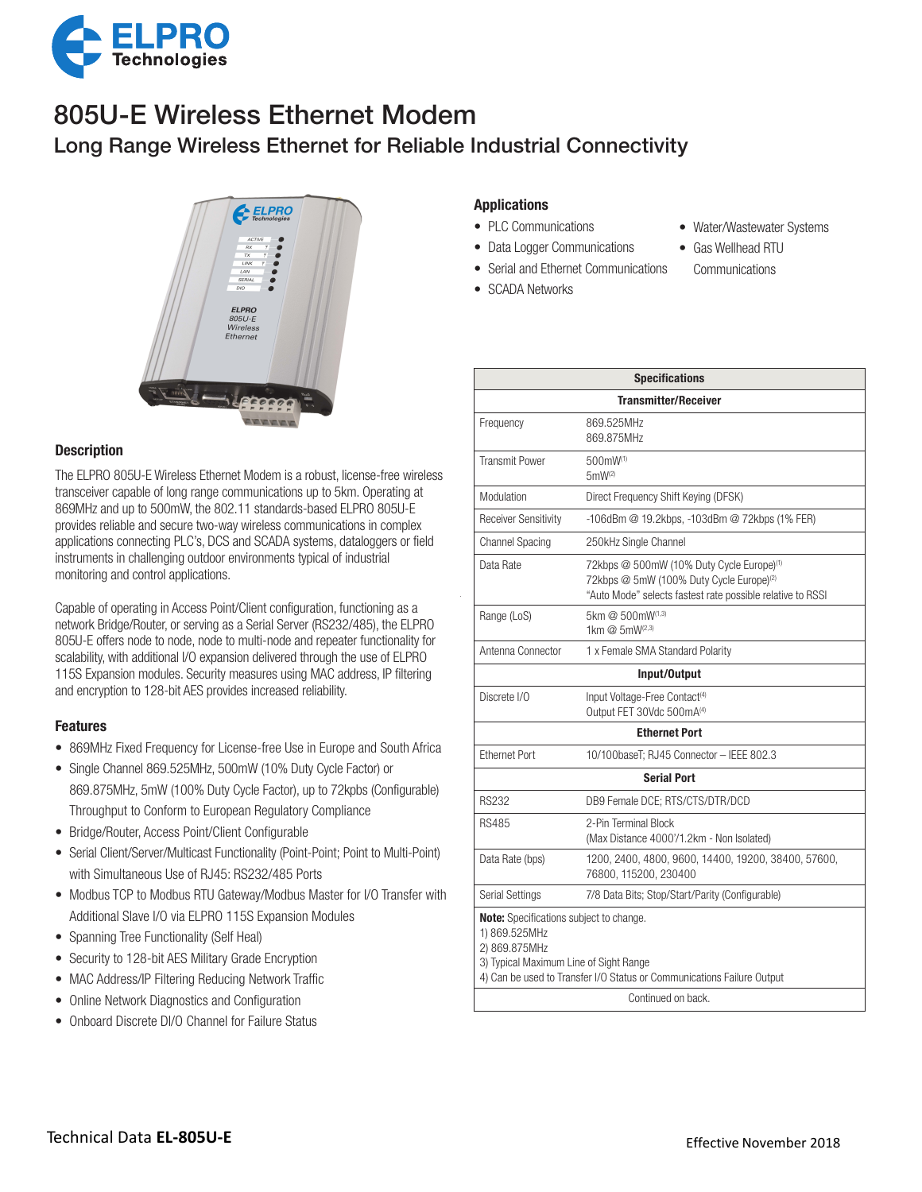

## Long Range Wireless Ethernet for Reliable Industrial Connectivity 805U-E Wireless Ethernet Modem



## **Description**

The ELPRO 805U-E Wireless Ethernet Modem is a robust, license-free wireless transceiver capable of long range communications up to 5km. Operating at 869MHz and up to 500mW, the 802.11 standards-based ELPRO 805U-E provides reliable and secure two-way wireless communications in complex applications connecting PLC's, DCS and SCADA systems, dataloggers or field instruments in challenging outdoor environments typical of industrial monitoring and control applications.

Capable of operating in Access Point/Client configuration, functioning as a network Bridge/Router, or serving as a Serial Server (RS232/485), the ELPRO 805U-E offers node to node, node to multi-node and repeater functionality for scalability, with additional I/O expansion delivered through the use of ELPRO 115S Expansion modules. Security measures using MAC address, IP filtering and encryption to 128-bit AES provides increased reliability.

### Features

- 869MHz Fixed Frequency for License-free Use in Europe and South Africa
- Single Channel 869.525MHz, 500mW (10% Duty Cycle Factor) or 869.875MHz, 5mW (100% Duty Cycle Factor), up to 72kpbs (Configurable) Throughput to Conform to European Regulatory Compliance
- Bridge/Router, Access Point/Client Configurable
- Serial Client/Server/Multicast Functionality (Point-Point; Point to Multi-Point) with Simultaneous Use of RJ45: RS232/485 Ports
- Modbus TCP to Modbus RTU Gateway/Modbus Master for I/O Transfer with Additional Slave I/O via ELPRO 115S Expansion Modules
- Spanning Tree Functionality (Self Heal)
- Security to 128-bit AES Military Grade Encryption
- MAC Address/IP Filtering Reducing Network Traffic
- Online Network Diagnostics and Configuration
- Onboard Discrete DI/O Channel for Failure Status

## Applications

- PLC Communications
- Data Logger Communications
- Serial and Ethernet Communications
- SCADA Networks
- Water/Wastewater Systems
- Gas Wellhead RTU
- Communications

|                                                                                                                            | specifications                                                                                                                                                              |
|----------------------------------------------------------------------------------------------------------------------------|-----------------------------------------------------------------------------------------------------------------------------------------------------------------------------|
|                                                                                                                            | <b>Transmitter/Receiver</b>                                                                                                                                                 |
| Frequency                                                                                                                  | 869.525MHz<br>869.875MHz                                                                                                                                                    |
| <b>Transmit Power</b>                                                                                                      | $500$ mW <sup>(1)</sup><br>$5mW^{(2)}$                                                                                                                                      |
| Modulation                                                                                                                 | Direct Frequency Shift Keying (DFSK)                                                                                                                                        |
| <b>Receiver Sensitivity</b>                                                                                                | -106dBm @ 19.2kbps, -103dBm @ 72kbps (1% FER)                                                                                                                               |
| <b>Channel Spacing</b>                                                                                                     | 250kHz Single Channel                                                                                                                                                       |
| Data Rate                                                                                                                  | 72kbps @ 500mW (10% Duty Cycle Europe) <sup>(1)</sup><br>72kbps @ 5mW (100% Duty Cycle Europe) <sup>(2)</sup><br>"Auto Mode" selects fastest rate possible relative to RSSI |
| Range (LoS)                                                                                                                | 5km @ 500mW(1,3)<br>1km @ 5mW(2,3)                                                                                                                                          |
| Antenna Connector                                                                                                          | 1 x Female SMA Standard Polarity                                                                                                                                            |
|                                                                                                                            | Input/Output                                                                                                                                                                |
| Discrete I/O                                                                                                               | Input Voltage-Free Contact <sup>(4)</sup><br>Output FET 30Vdc 500mA(4)                                                                                                      |
|                                                                                                                            | <b>Ethernet Port</b>                                                                                                                                                        |
| <b>Ethernet Port</b>                                                                                                       | 10/100baseT; RJ45 Connector - IEEE 802.3                                                                                                                                    |
|                                                                                                                            | <b>Serial Port</b>                                                                                                                                                          |
| <b>RS232</b>                                                                                                               | DB9 Female DCE; RTS/CTS/DTR/DCD                                                                                                                                             |
| <b>RS485</b>                                                                                                               | 2-Pin Terminal Block<br>(Max Distance 4000'/1.2km - Non Isolated)                                                                                                           |
| Data Rate (bps)                                                                                                            | 1200, 2400, 4800, 9600, 14400, 19200, 38400, 57600,<br>76800, 115200, 230400                                                                                                |
| <b>Serial Settings</b>                                                                                                     | 7/8 Data Bits; Stop/Start/Parity (Configurable)                                                                                                                             |
| <b>Note:</b> Specifications subject to change.<br>1) 869.525MHz<br>2) 869.875MHz<br>3) Typical Maximum Line of Sight Range | 4) Can be used to Transfer I/O Status or Communications Failure Output                                                                                                      |
|                                                                                                                            | Continued on back.                                                                                                                                                          |

Specifications